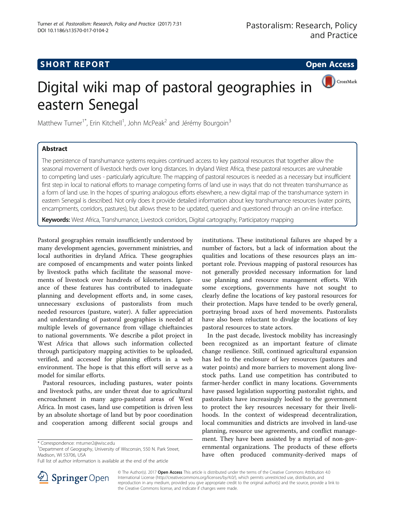## **SHORT REPORT SHORT CONSUMING THE SHORT CONSUMING THE SHORT CONSUMING THE SHORT CONSUMING THE SHORT CONSUMING THE SHORT CONSUMING THE SHORT CONSUMING THE SHORT CONSUMING THE SHORT CONSUMING THE SHORT CONSUMING THE SHORT**

CrossMark

# Digital wiki map of pastoral geographies in eastern Senegal

Matthew Turner<sup>1\*</sup>, Erin Kitchell<sup>1</sup>, John McPeak<sup>2</sup> and Jérémy Bourgoin<sup>3</sup>

## Abstract

The persistence of transhumance systems requires continued access to key pastoral resources that together allow the seasonal movement of livestock herds over long distances. In dryland West Africa, these pastoral resources are vulnerable to competing land uses - particularly agriculture. The mapping of pastoral resources is needed as a necessary but insufficient first step in local to national efforts to manage competing forms of land use in ways that do not threaten transhumance as a form of land use. In the hopes of spurring analogous efforts elsewhere, a new digital map of the transhumance system in eastern Senegal is described. Not only does it provide detailed information about key transhumance resources (water points, encampments, corridors, pastures), but allows these to be updated, queried and questioned through an on-line interface.

Keywords: West Africa, Transhumance, Livestock corridors, Digital cartography, Participatory mapping

Pastoral geographies remain insufficiently understood by many development agencies, government ministries, and local authorities in dryland Africa. These geographies are composed of encampments and water points linked by livestock paths which facilitate the seasonal movements of livestock over hundreds of kilometers. Ignorance of these features has contributed to inadequate planning and development efforts and, in some cases, unnecessary exclusions of pastoralists from much needed resources (pasture, water). A fuller appreciation and understanding of pastoral geographies is needed at multiple levels of governance from village chieftaincies to national governments. We describe a pilot project in West Africa that allows such information collected through participatory mapping activities to be uploaded, verified, and accessed for planning efforts in a web environment. The hope is that this effort will serve as a model for similar efforts.

Pastoral resources, including pastures, water points and livestock paths, are under threat due to agricultural encroachment in many agro-pastoral areas of West Africa. In most cases, land use competition is driven less by an absolute shortage of land but by poor coordination and cooperation among different social groups and

institutions. These institutional failures are shaped by a number of factors, but a lack of information about the qualities and locations of these resources plays an important role. Previous mapping of pastoral resources has not generally provided necessary information for land use planning and resource management efforts. With some exceptions, governments have not sought to clearly define the locations of key pastoral resources for their protection. Maps have tended to be overly general, portraying broad axes of herd movements. Pastoralists have also been reluctant to divulge the locations of key pastoral resources to state actors.

In the past decade, livestock mobility has increasingly been recognized as an important feature of climate change resilience. Still, continued agricultural expansion has led to the enclosure of key resources (pastures and water points) and more barriers to movement along livestock paths. Land use competition has contributed to farmer-herder conflict in many locations. Governments have passed legislation supporting pastoralist rights, and pastoralists have increasingly looked to the government to protect the key resources necessary for their livelihoods. In the context of widespread decentralization, local communities and districts are involved in land-use planning, resource use agreements, and conflict management. They have been assisted by a myriad of non-governmental organizations. The products of these efforts have often produced community-derived maps of



© The Author(s). 2017 Open Access This article is distributed under the terms of the Creative Commons Attribution 4.0 International License ([http://creativecommons.org/licenses/by/4.0/\)](http://creativecommons.org/licenses/by/4.0/), which permits unrestricted use, distribution, and reproduction in any medium, provided you give appropriate credit to the original author(s) and the source, provide a link to the Creative Commons license, and indicate if changes were made.

<sup>\*</sup> Correspondence: [mturner2@wisc.edu](mailto:mturner2@wisc.edu) <sup>1</sup>

<sup>&</sup>lt;sup>1</sup>Department of Geography, University of Wisconsin, 550 N. Park Street, Madison, WI 53706, USA

Full list of author information is available at the end of the article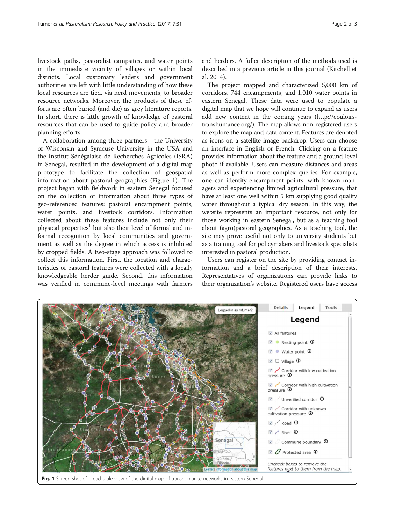livestock paths, pastoralist campsites, and water points in the immediate vicinity of villages or within local districts. Local customary leaders and government authorities are left with little understanding of how these local resources are tied, via herd movements, to broader resource networks. Moreover, the products of these efforts are often buried (and die) as grey literature reports. In short, there is little growth of knowledge of pastoral resources that can be used to guide policy and broader planning efforts.

A collaboration among three partners - the University of Wisconsin and Syracuse University in the USA and the Institut Sénégalaise de Recherches Agricoles (ISRA) in Senegal, resulted in the development of a digital map prototype to facilitate the collection of geospatial information about pastoral geographies (Figure 1). The project began with fieldwork in eastern Senegal focused on the collection of information about three types of geo-referenced features: pastoral encampment points, water points, and livestock corridors. Information collected about these features include not only their physical properties<sup>1</sup> but also their level of formal and informal recognition by local communities and government as well as the degree in which access is inhibited by cropped fields. A two-stage approach was followed to collect this information. First, the location and characteristics of pastoral features were collected with a locally knowledgeable herder guide. Second, this information was verified in commune-level meetings with farmers

and herders. A fuller description of the methods used is described in a previous article in this journal (Kitchell et al. [2014](#page-2-0)).

The project mapped and characterized 5,000 km of corridors, 744 encampments, and 1,010 water points in eastern Senegal. These data were used to populate a digital map that we hope will continue to expand as users add new content in the coming years ([http://couloirs](http://couloirs-transhumance.org/)[transhumance.org/](http://couloirs-transhumance.org/)). The map allows non-registered users to explore the map and data content. Features are denoted as icons on a satellite image backdrop. Users can choose an interface in English or French. Clicking on a feature provides information about the feature and a ground-level photo if available. Users can measure distances and areas as well as perform more complex queries. For example, one can identify encampment points, with known managers and experiencing limited agricultural pressure, that have at least one well within 5 km supplying good quality water throughout a typical dry season. In this way, the website represents an important resource, not only for those working in eastern Senegal, but as a teaching tool about (agro)pastoral geographies. As a teaching tool, the site may prove useful not only to university students but as a training tool for policymakers and livestock specialists interested in pastoral production.

Users can register on the site by providing contact information and a brief description of their interests. Representatives of organizations can provide links to their organization's website. Registered users have access